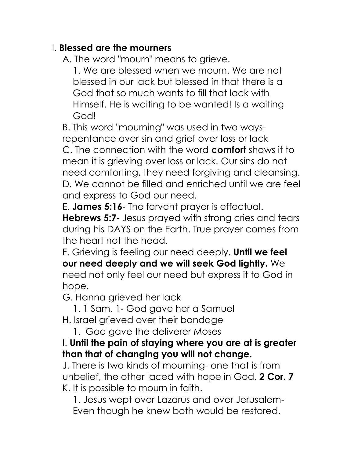## I. **Blessed are the mourners**

A. The word "mourn" means to grieve.

1. We are blessed when we mourn. We are not blessed in our lack but blessed in that there is a God that so much wants to fill that lack with Himself. He is waiting to be wanted! Is a waiting God!

B. This word "mourning" was used in two waysrepentance over sin and grief over loss or lack C. The connection with the word **comfort** shows it to mean it is grieving over loss or lack. Our sins do not need comforting, they need forgiving and cleansing. D. We cannot be filled and enriched until we are feel and express to God our need.

E. **James 5:16**- The fervent prayer is effectual. **Hebrews 5:7**- Jesus prayed with strong cries and tears during his DAYS on the Earth. True prayer comes from the heart not the head.

F. Grieving is feeling our need deeply. **Until we feel our need deeply and we will seek God lightly.** We need not only feel our need but express it to God in hope.

G. Hanna grieved her lack

1. 1 Sam. 1- God gave her a Samuel H. Israel grieved over their bondage

1. God gave the deliverer Moses

## I. **Until the pain of staying where you are at is greater than that of changing you will not change.**

J. There is two kinds of mourning- one that is from unbelief, the other laced with hope in God. **2 Cor. 7** K. It is possible to mourn in faith.

1. Jesus wept over Lazarus and over Jerusalem-Even though he knew both would be restored.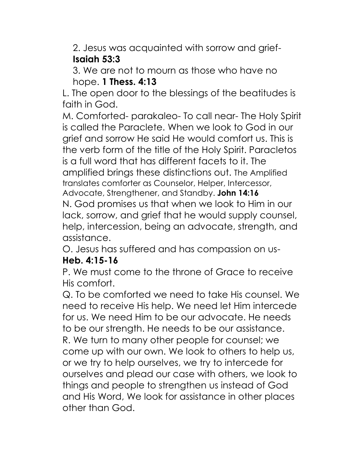2. Jesus was acquainted with sorrow and grief-**Isaiah 53:3**

3. We are not to mourn as those who have no hope. **1 Thess. 4:13**

L. The open door to the blessings of the beatitudes is faith in God.

M. Comforted- parakaleo- To call near- The Holy Spirit is called the Paraclete. When we look to God in our grief and sorrow He said He would comfort us. This is the verb form of the title of the Holy Spirit. Paracletos is a full word that has different facets to it. The amplified brings these distinctions out. The Amplified translates comforter as Counselor, Helper, Intercessor, Advocate, Strengthener, and Standby. **John 14:16**

N. God promises us that when we look to Him in our lack, sorrow, and grief that he would supply counsel, help, intercession, being an advocate, strength, and assistance.

O. Jesus has suffered and has compassion on us-

## **Heb. 4:15-16**

P. We must come to the throne of Grace to receive His comfort.

Q. To be comforted we need to take His counsel. We need to receive His help. We need let Him intercede for us. We need Him to be our advocate. He needs to be our strength. He needs to be our assistance. R. We turn to many other people for counsel; we come up with our own. We look to others to help us, or we try to help ourselves, we try to intercede for ourselves and plead our case with others, we look to things and people to strengthen us instead of God and His Word, We look for assistance in other places other than God.